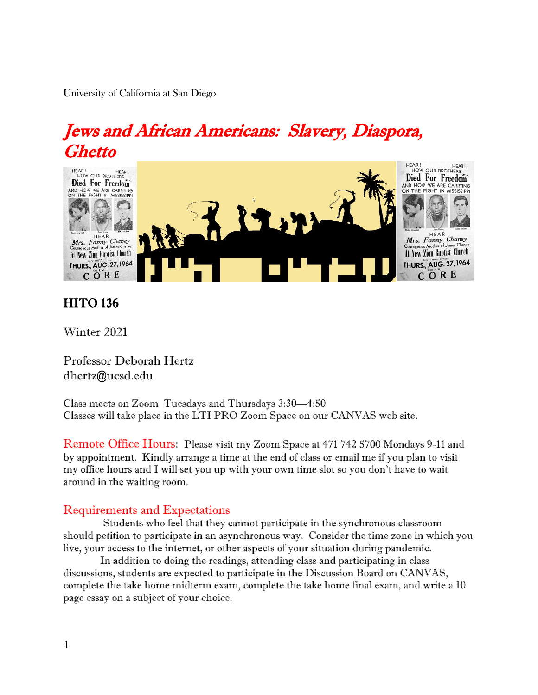University of California at San Diego

# Jews and African Americans: Slavery, Diaspora, Ghetto



# HITO 136

Winter 2021

Professor Deborah Hertz dhertz@ucsd.edu

Class meets on Zoom Tuesdays and Thursdays 3:30—4:50 Classes will take place in the LTI PRO Zoom Space on our CANVAS web site.

Remote Office Hours: Please visit my Zoom Space at 471 742 5700 Mondays 9-11 and by appointment. Kindly arrange a time at the end of class or email me if you plan to visit my office hours and I will set you up with your own time slot so you don't have to wait around in the waiting room.

# Requirements and Expectations

 Students who feel that they cannot participate in the synchronous classroom should petition to participate in an asynchronous way. Consider the time zone in which you live, your access to the internet, or other aspects of your situation during pandemic.

 In addition to doing the readings, attending class and participating in class discussions, students are expected to participate in the Discussion Board on CANVAS, complete the take home midterm exam, complete the take home final exam, and write a 10 page essay on a subject of your choice.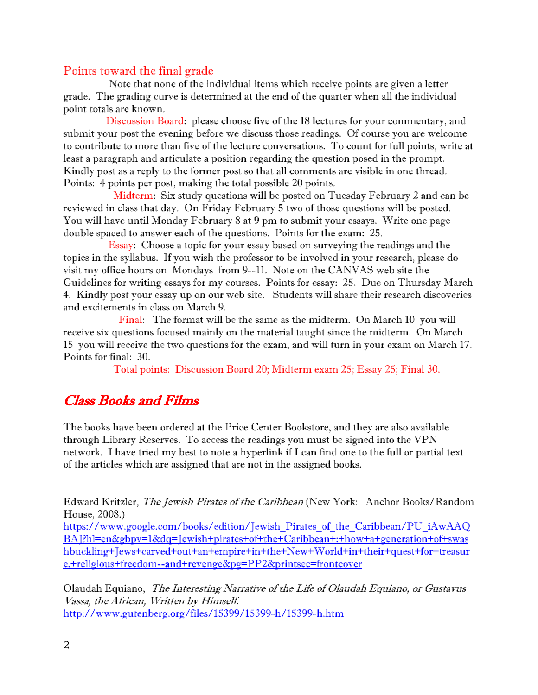# Points toward the final grade

 Note that none of the individual items which receive points are given a letter grade. The grading curve is determined at the end of the quarter when all the individual point totals are known.

 Discussion Board: please choose five of the 18 lectures for your commentary, and submit your post the evening before we discuss those readings. Of course you are welcome to contribute to more than five of the lecture conversations. To count for full points, write at least a paragraph and articulate a position regarding the question posed in the prompt. Kindly post as a reply to the former post so that all comments are visible in one thread. Points: 4 points per post, making the total possible 20 points.

 Midterm: Six study questions will be posted on Tuesday February 2 and can be reviewed in class that day. On Friday February 5 two of those questions will be posted. You will have until Monday February 8 at 9 pm to submit your essays. Write one page double spaced to answer each of the questions. Points for the exam: 25.

 Essay: Choose a topic for your essay based on surveying the readings and the topics in the syllabus. If you wish the professor to be involved in your research, please do visit my office hours on Mondays from 9--11. Note on the CANVAS web site the Guidelines for writing essays for my courses. Points for essay: 25. Due on Thursday March 4. Kindly post your essay up on our web site. Students will share their research discoveries and excitements in class on March 9.

 Final: The format will be the same as the midterm. On March 10 you will receive six questions focused mainly on the material taught since the midterm. On March 15 you will receive the two questions for the exam, and will turn in your exam on March 17. Points for final: 30.

Total points: Discussion Board 20; Midterm exam 25; Essay 25; Final 30.

# Class Books and Films

The books have been ordered at the Price Center Bookstore, and they are also available through Library Reserves. To access the readings you must be signed into the VPN network. I have tried my best to note a hyperlink if I can find one to the full or partial text of the articles which are assigned that are not in the assigned books.

Edward Kritzler, The Jewish Pirates of the Caribbean (New York: Anchor Books/Random House, 2008.)

[https://www.google.com/books/edition/Jewish\\_Pirates\\_of\\_the\\_Caribbean/PU\\_iAwAAQ](https://www.google.com/books/edition/Jewish_Pirates_of_the_Caribbean/PU_iAwAAQBAJ?hl=en&gbpv=1&dq=Jewish+pirates+of+the+Caribbean+:+how+a+generation+of+swashbuckling+Jews+carved+out+an+empire+in+the+New+World+in+their+quest+for+treasure,+religious+freedom--and+revenge&pg=PP2&printsec=frontcover) [BAJ?hl=en&gbpv=1&dq=Jewish+pirates+of+the+Caribbean+:+how+a+generation+of+swas](https://www.google.com/books/edition/Jewish_Pirates_of_the_Caribbean/PU_iAwAAQBAJ?hl=en&gbpv=1&dq=Jewish+pirates+of+the+Caribbean+:+how+a+generation+of+swashbuckling+Jews+carved+out+an+empire+in+the+New+World+in+their+quest+for+treasure,+religious+freedom--and+revenge&pg=PP2&printsec=frontcover) [hbuckling+Jews+carved+out+an+empire+in+the+New+World+in+their+quest+for+treasur](https://www.google.com/books/edition/Jewish_Pirates_of_the_Caribbean/PU_iAwAAQBAJ?hl=en&gbpv=1&dq=Jewish+pirates+of+the+Caribbean+:+how+a+generation+of+swashbuckling+Jews+carved+out+an+empire+in+the+New+World+in+their+quest+for+treasure,+religious+freedom--and+revenge&pg=PP2&printsec=frontcover) [e,+religious+freedom--and+revenge&pg=PP2&printsec=frontcover](https://www.google.com/books/edition/Jewish_Pirates_of_the_Caribbean/PU_iAwAAQBAJ?hl=en&gbpv=1&dq=Jewish+pirates+of+the+Caribbean+:+how+a+generation+of+swashbuckling+Jews+carved+out+an+empire+in+the+New+World+in+their+quest+for+treasure,+religious+freedom--and+revenge&pg=PP2&printsec=frontcover)

Olaudah Equiano, The Interesting Narrative of the Life of Olaudah Equiano, or Gustavus Vassa, the African, Written by Himself. <http://www.gutenberg.org/files/15399/15399-h/15399-h.htm>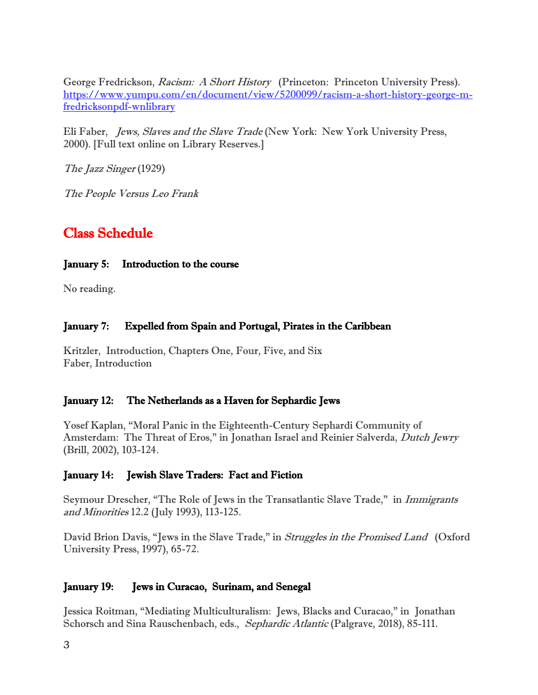George Fredrickson, Racism: A Short History (Princeton: Princeton University Press). [https://www.yumpu.com/en/document/view/5200099/racism-a-short-history-george-m](https://www.yumpu.com/en/document/view/5200099/racism-a-short-history-george-m-fredricksonpdf-wnlibrary)[fredricksonpdf-wnlibrary](https://www.yumpu.com/en/document/view/5200099/racism-a-short-history-george-m-fredricksonpdf-wnlibrary)

Eli Faber, Jews, Slaves and the Slave Trade (New York: New York University Press, 2000). [Full text online on Library Reserves.]

The Jazz Singer (1929)

The People Versus Leo Frank

# Class Schedule

#### January 5: Introduction to the course

No reading.

#### January 7: Expelled from Spain and Portugal, Pirates in the Caribbean

Kritzler, Introduction, Chapters One, Four, Five, and Six Faber, Introduction

#### January 12: The Netherlands as a Haven for Sephardic Jews

Yosef Kaplan, "Moral Panic in the Eighteenth-Century Sephardi Community of Amsterdam: The Threat of Eros," in Jonathan Israel and Reinier Salverda, Dutch Jewry (Brill, 2002), 103-124.

#### January 14: Jewish Slave Traders: Fact and Fiction

Seymour Drescher, "The Role of Jews in the Transatlantic Slave Trade," in *Immigrants* and Minorities 12.2 (July 1993), 113-125.

David Brion Davis, "Jews in the Slave Trade," in Struggles in the Promised Land (Oxford University Press, 1997), 65-72.

# January 19: Jews in Curacao, Surinam, and Senegal

Jessica Roitman, "Mediating Multiculturalism: Jews, Blacks and Curacao," in Jonathan Schorsch and Sina Rauschenbach, eds., Sephardic Atlantic (Palgrave, 2018), 85-111.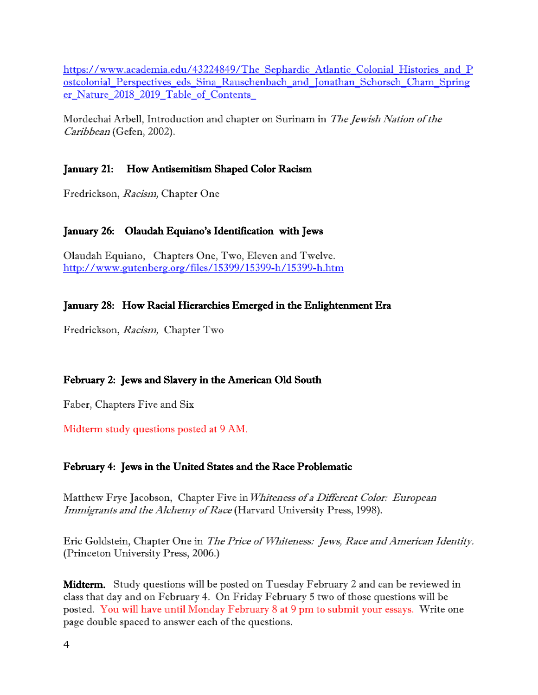https://www.academia.edu/43224849/The Sephardic Atlantic Colonial Histories and P ostcolonial Perspectives eds Sina Rauschenbach and Jonathan Schorsch Cham Spring [er\\_Nature\\_2018\\_2019\\_Table\\_of\\_Contents\\_](https://www.academia.edu/43224849/The_Sephardic_Atlantic_Colonial_Histories_and_Postcolonial_Perspectives_eds_Sina_Rauschenbach_and_Jonathan_Schorsch_Cham_Springer_Nature_2018_2019_Table_of_Contents_)

Mordechai Arbell, Introduction and chapter on Surinam in The Jewish Nation of the Caribbean (Gefen, 2002).

# January 21: How Antisemitism Shaped Color Racism

Fredrickson, Racism, Chapter One

### January 26: Olaudah Equiano's Identification with Jews

Olaudah Equiano, Chapters One, Two, Eleven and Twelve. <http://www.gutenberg.org/files/15399/15399-h/15399-h.htm>

# January 28: How Racial Hierarchies Emerged in the Enlightenment Era

Fredrickson, Racism, Chapter Two

# February 2: Jews and Slavery in the American Old South

Faber, Chapters Five and Six

Midterm study questions posted at 9 AM.

#### February 4: Jews in the United States and the Race Problematic

Matthew Frye Jacobson, Chapter Five inWhiteness of a Different Color: European Immigrants and the Alchemy of Race (Harvard University Press, 1998).

Eric Goldstein, Chapter One in The Price of Whiteness: Jews, Race and American Identity. (Princeton University Press, 2006.)

**Midterm.** Study questions will be posted on Tuesday February 2 and can be reviewed in class that day and on February 4. On Friday February 5 two of those questions will be posted. You will have until Monday February 8 at 9 pm to submit your essays. Write one page double spaced to answer each of the questions.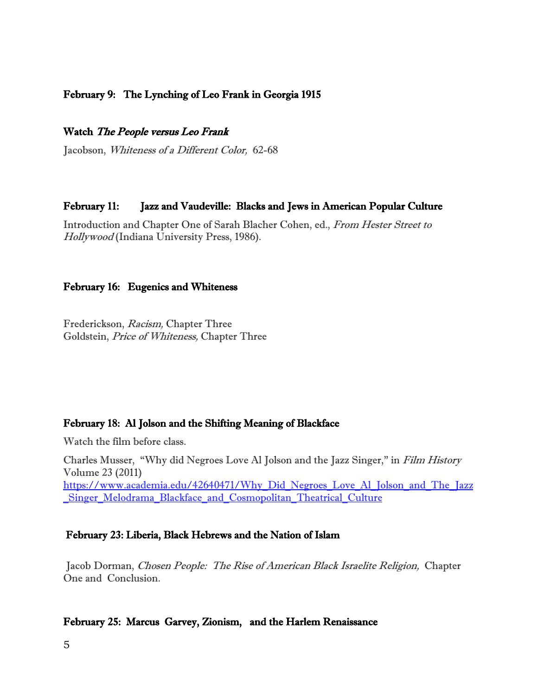### February 9: The Lynching of Leo Frank in Georgia 1915

#### Watch The People versus Leo Frank

Jacobson, Whiteness of a Different Color, 62-68

#### February 11: Jazz and Vaudeville: Blacks and Jews in American Popular Culture

Introduction and Chapter One of Sarah Blacher Cohen, ed., From Hester Street to Hollywood (Indiana University Press, 1986).

#### February 16: Eugenics and Whiteness

Frederickson, Racism, Chapter Three Goldstein, Price of Whiteness, Chapter Three

#### February 18: Al Jolson and the Shifting Meaning of Blackface

Watch the film before class.

Charles Musser, "Why did Negroes Love Al Jolson and the Jazz Singer," in Film History Volume 23 (2011) [https://www.academia.edu/42640471/Why\\_Did\\_Negroes\\_Love\\_Al\\_Jolson\\_and\\_The\\_Jazz](https://www.academia.edu/42640471/Why_Did_Negroes_Love_Al_Jolson_and_The_Jazz_Singer_Melodrama_Blackface_and_Cosmopolitan_Theatrical_Culture) Singer Melodrama Blackface and Cosmopolitan Theatrical Culture

#### February 23: Liberia, Black Hebrews and the Nation of Islam

 Jacob Dorman, Chosen People: The Rise of American Black Israelite Religion, Chapter One and Conclusion.

#### February 25: Marcus Garvey, Zionism, and the Harlem Renaissance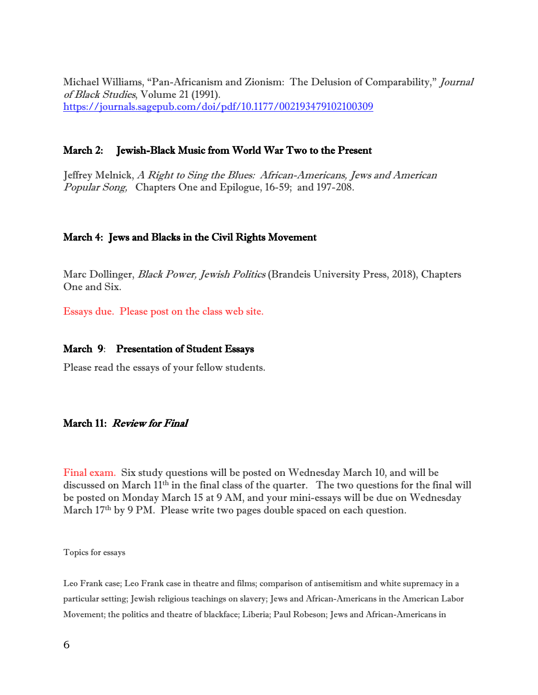Michael Williams, "Pan-Africanism and Zionism: The Delusion of Comparability," Journal of Black Studies, Volume 21 (1991). <https://journals.sagepub.com/doi/pdf/10.1177/002193479102100309>

#### March 2: Jewish-Black Music from World War Two to the Present

Jeffrey Melnick, A Right to Sing the Blues: African-Americans, Jews and American Popular Song, Chapters One and Epilogue, 16-59; and 197-208.

#### March 4: Jews and Blacks in the Civil Rights Movement

Marc Dollinger, *Black Power, Jewish Politics* (Brandeis University Press, 2018), Chapters One and Six.

Essays due. Please post on the class web site.

#### March 9: Presentation of Student Essays

Please read the essays of your fellow students.

#### March 11: Review for Final

Final exam. Six study questions will be posted on Wednesday March 10, and will be discussed on March 11th in the final class of the quarter. The two questions for the final will be posted on Monday March 15 at 9 AM, and your mini-essays will be due on Wednesday March 17<sup>th</sup> by 9 PM. Please write two pages double spaced on each question.

Topics for essays

Leo Frank case; Leo Frank case in theatre and films; comparison of antisemitism and white supremacy in a particular setting; Jewish religious teachings on slavery; Jews and African-Americans in the American Labor Movement; the politics and theatre of blackface; Liberia; Paul Robeson; Jews and African-Americans in